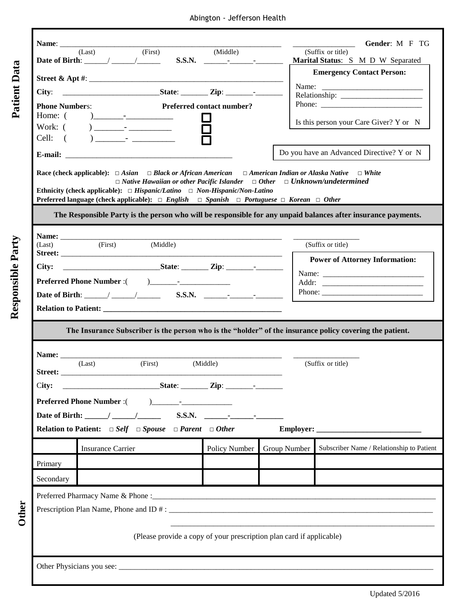Abington - Jefferson Health

**Patient Data**

Responsible Party

|                          | <b>Gender: M F TG</b>                                                                                                                                                                                                                                                                                                                                                                                                                         |                          |                                                                                                              |                                  |                                           |                                                        |  |  |  |
|--------------------------|-----------------------------------------------------------------------------------------------------------------------------------------------------------------------------------------------------------------------------------------------------------------------------------------------------------------------------------------------------------------------------------------------------------------------------------------------|--------------------------|--------------------------------------------------------------------------------------------------------------|----------------------------------|-------------------------------------------|--------------------------------------------------------|--|--|--|
|                          | Date of Birth: (Last) (First)<br>$S.S.N.$ $(Middle)$                                                                                                                                                                                                                                                                                                                                                                                          |                          |                                                                                                              |                                  |                                           | (Suffix or title)<br>Marital Status: S M D W Separated |  |  |  |
| Patient Data             |                                                                                                                                                                                                                                                                                                                                                                                                                                               |                          |                                                                                                              |                                  |                                           | <b>Emergency Contact Person:</b>                       |  |  |  |
|                          |                                                                                                                                                                                                                                                                                                                                                                                                                                               |                          |                                                                                                              |                                  |                                           |                                                        |  |  |  |
|                          |                                                                                                                                                                                                                                                                                                                                                                                                                                               |                          |                                                                                                              |                                  |                                           |                                                        |  |  |  |
|                          | <b>Phone Numbers:</b>                                                                                                                                                                                                                                                                                                                                                                                                                         |                          |                                                                                                              | <b>Preferred contact number?</b> |                                           |                                                        |  |  |  |
|                          |                                                                                                                                                                                                                                                                                                                                                                                                                                               |                          |                                                                                                              |                                  |                                           | Is this person your Care Giver? Y or N                 |  |  |  |
|                          |                                                                                                                                                                                                                                                                                                                                                                                                                                               |                          |                                                                                                              |                                  |                                           |                                                        |  |  |  |
|                          |                                                                                                                                                                                                                                                                                                                                                                                                                                               |                          |                                                                                                              |                                  |                                           |                                                        |  |  |  |
|                          |                                                                                                                                                                                                                                                                                                                                                                                                                                               |                          |                                                                                                              |                                  | Do you have an Advanced Directive? Y or N |                                                        |  |  |  |
|                          | Race (check applicable): $\Box$ Asian $\Box$ Black or African American $\Box$ American Indian or Alaska Native $\Box$ White<br>$\Box$ Native Hawaiian or other Pacific Islander $\Box$ Other $\Box$ Unknown/undetermined                                                                                                                                                                                                                      |                          |                                                                                                              |                                  |                                           |                                                        |  |  |  |
|                          | Ethnicity (check applicable): $\Box$ Hispanic/Latino $\Box$ Non-Hispanic/Non-Latino<br>Preferred language (check applicable): $\Box$ English $\Box$ Spanish $\Box$ Portuguese $\Box$ Korean $\Box$ Other                                                                                                                                                                                                                                      |                          |                                                                                                              |                                  |                                           |                                                        |  |  |  |
|                          |                                                                                                                                                                                                                                                                                                                                                                                                                                               |                          |                                                                                                              |                                  |                                           |                                                        |  |  |  |
|                          | The Responsible Party is the person who will be responsible for any unpaid balances after insurance payments.                                                                                                                                                                                                                                                                                                                                 |                          |                                                                                                              |                                  |                                           |                                                        |  |  |  |
|                          |                                                                                                                                                                                                                                                                                                                                                                                                                                               |                          |                                                                                                              |                                  |                                           |                                                        |  |  |  |
| <b>Responsible Party</b> | (Last)                                                                                                                                                                                                                                                                                                                                                                                                                                        |                          | (First) (Middle)                                                                                             |                                  |                                           | (Suffix or title)                                      |  |  |  |
|                          |                                                                                                                                                                                                                                                                                                                                                                                                                                               |                          |                                                                                                              |                                  |                                           | <b>Power of Attorney Information:</b>                  |  |  |  |
|                          |                                                                                                                                                                                                                                                                                                                                                                                                                                               |                          |                                                                                                              |                                  |                                           |                                                        |  |  |  |
|                          |                                                                                                                                                                                                                                                                                                                                                                                                                                               |                          |                                                                                                              |                                  |                                           |                                                        |  |  |  |
|                          |                                                                                                                                                                                                                                                                                                                                                                                                                                               |                          |                                                                                                              |                                  |                                           |                                                        |  |  |  |
|                          |                                                                                                                                                                                                                                                                                                                                                                                                                                               |                          |                                                                                                              |                                  |                                           |                                                        |  |  |  |
|                          |                                                                                                                                                                                                                                                                                                                                                                                                                                               |                          |                                                                                                              |                                  |                                           |                                                        |  |  |  |
|                          | The Insurance Subscriber is the person who is the "holder" of the insurance policy covering the patient.                                                                                                                                                                                                                                                                                                                                      |                          |                                                                                                              |                                  |                                           |                                                        |  |  |  |
|                          |                                                                                                                                                                                                                                                                                                                                                                                                                                               |                          |                                                                                                              |                                  |                                           |                                                        |  |  |  |
|                          | Name: (Last) (First) (Middle)                                                                                                                                                                                                                                                                                                                                                                                                                 |                          |                                                                                                              |                                  |                                           | (Suffix or title)                                      |  |  |  |
|                          | City:                                                                                                                                                                                                                                                                                                                                                                                                                                         |                          |                                                                                                              |                                  |                                           |                                                        |  |  |  |
|                          |                                                                                                                                                                                                                                                                                                                                                                                                                                               |                          |                                                                                                              |                                  |                                           |                                                        |  |  |  |
|                          | <b>Preferred Phone Number:</b> (<br>Date of Birth: $\frac{1}{\sqrt{1-\frac{1}{1-\frac{1}{1-\frac{1}{1-\frac{1}{1-\frac{1}{1-\frac{1}{1-\frac{1}{1-\frac{1}{1-\frac{1}{1-\frac{1}{1-\frac{1}{1-\frac{1}{1-\frac{1}{1-\frac{1}{1-\frac{1}{1-\frac{1}{1-\frac{1}{1-\frac{1}{1-\frac{1}{1-\frac{1}{1-\frac{1}{1-\frac{1}{1-\frac{1}{1-\frac{1}{1-\frac{1}{1-\frac{1}{1-\frac{1}{1-\frac{1}{1-\frac{1}{1-\frac{1}{1-\frac{1}{1-\frac{1}{1-\frac{1$ |                          |                                                                                                              |                                  |                                           |                                                        |  |  |  |
|                          |                                                                                                                                                                                                                                                                                                                                                                                                                                               |                          |                                                                                                              |                                  |                                           |                                                        |  |  |  |
|                          |                                                                                                                                                                                                                                                                                                                                                                                                                                               |                          | <b>Relation to Patient:</b> $\Box$ <i>Self</i> $\Box$ <i>Spouse</i> $\Box$ <i>Parent</i> $\Box$ <i>Other</i> |                                  |                                           |                                                        |  |  |  |
|                          |                                                                                                                                                                                                                                                                                                                                                                                                                                               | <b>Insurance Carrier</b> |                                                                                                              | Policy Number                    | Group Number                              | Subscriber Name / Relationship to Patient              |  |  |  |
|                          | Primary                                                                                                                                                                                                                                                                                                                                                                                                                                       |                          |                                                                                                              |                                  |                                           |                                                        |  |  |  |
|                          | Secondary                                                                                                                                                                                                                                                                                                                                                                                                                                     |                          |                                                                                                              |                                  |                                           |                                                        |  |  |  |
|                          |                                                                                                                                                                                                                                                                                                                                                                                                                                               |                          |                                                                                                              |                                  |                                           |                                                        |  |  |  |
|                          |                                                                                                                                                                                                                                                                                                                                                                                                                                               |                          |                                                                                                              |                                  |                                           |                                                        |  |  |  |
| Dther                    |                                                                                                                                                                                                                                                                                                                                                                                                                                               |                          |                                                                                                              |                                  |                                           |                                                        |  |  |  |
|                          |                                                                                                                                                                                                                                                                                                                                                                                                                                               |                          |                                                                                                              |                                  |                                           |                                                        |  |  |  |
|                          | (Please provide a copy of your prescription plan card if applicable)                                                                                                                                                                                                                                                                                                                                                                          |                          |                                                                                                              |                                  |                                           |                                                        |  |  |  |
|                          |                                                                                                                                                                                                                                                                                                                                                                                                                                               |                          |                                                                                                              |                                  |                                           |                                                        |  |  |  |
|                          |                                                                                                                                                                                                                                                                                                                                                                                                                                               |                          |                                                                                                              |                                  |                                           |                                                        |  |  |  |
|                          |                                                                                                                                                                                                                                                                                                                                                                                                                                               |                          |                                                                                                              |                                  |                                           |                                                        |  |  |  |